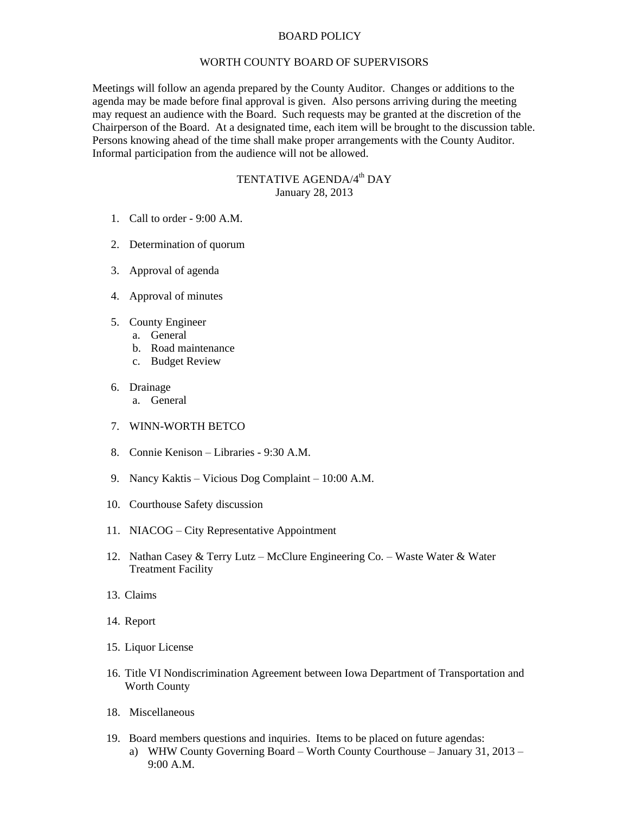## BOARD POLICY

## WORTH COUNTY BOARD OF SUPERVISORS

Meetings will follow an agenda prepared by the County Auditor. Changes or additions to the agenda may be made before final approval is given. Also persons arriving during the meeting may request an audience with the Board. Such requests may be granted at the discretion of the Chairperson of the Board. At a designated time, each item will be brought to the discussion table. Persons knowing ahead of the time shall make proper arrangements with the County Auditor. Informal participation from the audience will not be allowed.

## TENTATIVE AGENDA/4<sup>th</sup> DAY January 28, 2013

- 1. Call to order 9:00 A.M.
- 2. Determination of quorum
- 3. Approval of agenda
- 4. Approval of minutes
- 5. County Engineer
	- a. General
	- b. Road maintenance
	- c. Budget Review
- 6. Drainage
	- a. General
- 7. WINN-WORTH BETCO
- 8. Connie Kenison Libraries 9:30 A.M.
- 9. Nancy Kaktis Vicious Dog Complaint 10:00 A.M.
- 10. Courthouse Safety discussion
- 11. NIACOG City Representative Appointment
- 12. Nathan Casey & Terry Lutz McClure Engineering Co. Waste Water & Water Treatment Facility
- 13. Claims
- 14. Report
- 15. Liquor License
- 16. Title VI Nondiscrimination Agreement between Iowa Department of Transportation and Worth County
- 18. Miscellaneous
- 19. Board members questions and inquiries. Items to be placed on future agendas: a) WHW County Governing Board – Worth County Courthouse – January 31, 2013 – 9:00 A.M.